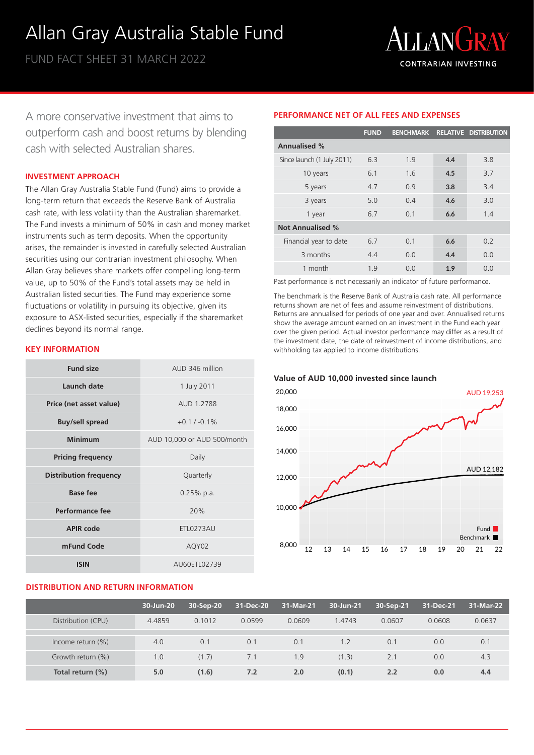# Allan Gray Australia Stable Fund

FUND FACT SHEET 31 MARCH 2022



A more conservative investment that aims to outperform cash and boost returns by blending cash with selected Australian shares.

### **INVESTMENT APPROACH**

The Allan Gray Australia Stable Fund (Fund) aims to provide a long-term return that exceeds the Reserve Bank of Australia cash rate, with less volatility than the Australian sharemarket. The Fund invests a minimum of 50% in cash and money market instruments such as term deposits. When the opportunity arises, the remainder is invested in carefully selected Australian securities using our contrarian investment philosophy. When Allan Gray believes share markets offer compelling long-term value, up to 50% of the Fund's total assets may be held in Australian listed securities. The Fund may experience some fluctuations or volatility in pursuing its objective, given its exposure to ASX-listed securities, especially if the sharemarket declines beyond its normal range.

# **KEY INFORMATION**

| <b>Fund size</b>              | AUD 346 million             |  |  |  |
|-------------------------------|-----------------------------|--|--|--|
| Launch date                   | 1 July 2011                 |  |  |  |
| Price (net asset value)       | AUD 1.2788                  |  |  |  |
| <b>Buy/sell spread</b>        | $+0.1 / -0.1\%$             |  |  |  |
| <b>Minimum</b>                | AUD 10,000 or AUD 500/month |  |  |  |
| <b>Pricing frequency</b>      | Daily                       |  |  |  |
| <b>Distribution frequency</b> | Quarterly                   |  |  |  |
| <b>Base fee</b>               | $0.25%$ p.a.                |  |  |  |
| Performance fee               | 20%                         |  |  |  |
| <b>APIR code</b>              | ETL0273AU                   |  |  |  |
| mFund Code                    | AQY02                       |  |  |  |
| <b>ISIN</b>                   | AU60ETL02739                |  |  |  |

# **DISTRIBUTION AND RETURN INFORMATION**

|                            | <b>FUND</b> |     |     | BENCHMARK RELATIVE DISTRIBUTION |
|----------------------------|-------------|-----|-----|---------------------------------|
| <b>Annualised %</b>        |             |     |     |                                 |
| Since launch (1 July 2011) | 6.3         | 1.9 | 4.4 | 3.8                             |
| 10 years                   | 6.1         | 1.6 | 4.5 | 3.7                             |
| 5 years                    | 4.7         | 0.9 | 3.8 | 3.4                             |
| 3 years                    | 5.0         | 0.4 | 4.6 | 3.0                             |
| 1 year                     | 6.7         | 0.1 | 6.6 | 1.4                             |
| <b>Not Annualised %</b>    |             |     |     |                                 |
| Financial year to date     | 6.7         | 0.1 | 6.6 | 0.2                             |
| 3 months                   | 4.4         | 0.0 | 4.4 | 0.0                             |
| 1 month                    | 1.9         | 0.0 | 1.9 | 0.0                             |

**PERFORMANCE NET OF ALL FEES AND EXPENSES**

Past performance is not necessarily an indicator of future performance.

The benchmark is the Reserve Bank of Australia cash rate. All performance returns shown are net of fees and assume reinvestment of distributions. Returns are annualised for periods of one year and over. Annualised returns show the average amount earned on an investment in the Fund each year over the given period. Actual investor performance may differ as a result of the investment date, the date of reinvestment of income distributions, and withholding tax applied to income distributions.



|                      | 30-Jun-20 | 30-Sep-20 | 31-Dec-20 | 31-Mar-21 | 30-Jun-21 | 30-Sep-21 | 31-Dec-21 | 31-Mar-22 |
|----------------------|-----------|-----------|-----------|-----------|-----------|-----------|-----------|-----------|
| Distribution (CPU)   | 4.4859    | 0.1012    | 0.0599    | 0.0609    | 1.4743    | 0.0607    | 0.0608    | 0.0637    |
|                      |           |           |           |           |           |           |           |           |
| Income return $(\%)$ | 4.0       | 0.1       | 0.1       | 0.1       | 1.2       | 0.1       | 0.0       | 0.1       |
| Growth return (%)    | 1.0       | (1.7)     | 7.1       | 1.9       | (1.3)     | 2.1       | 0.0       | 4.3       |
| Total return (%)     | 5.0       | (1.6)     | 7.2       | 2.0       | (0.1)     | 2.2       | 0.0       | 4.4       |